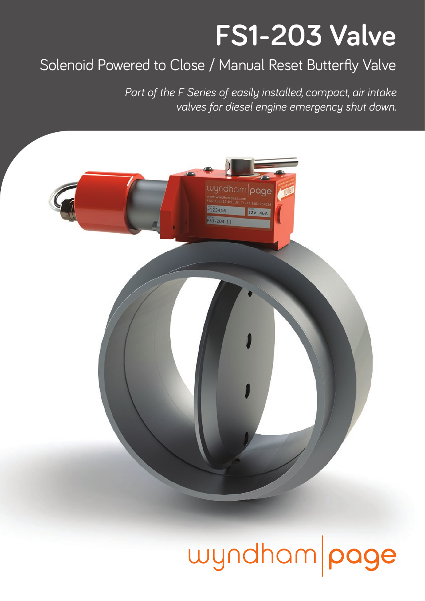## **FS1-203 Valve**

### Solenoid Powered to Close / Manual Reset Butterfly Valve

*Part of the F Series of easily installed, compact, air intake valves for diesel engine emergency shut down.* 



# wyndham page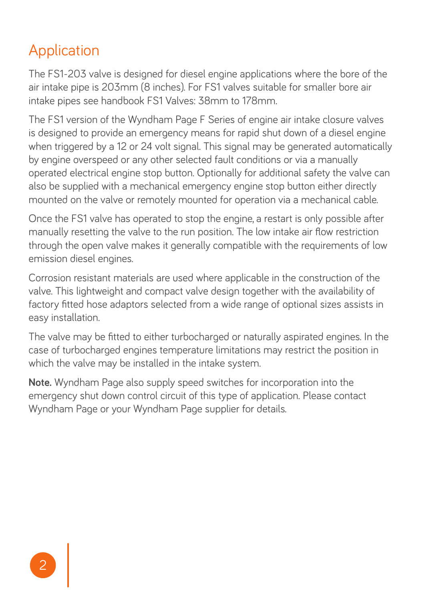### Application

The FS1-203 valve is designed for diesel engine applications where the bore of the air intake pipe is 203mm (8 inches). For FS1 valves suitable for smaller bore air intake pipes see handbook FS1 Valves: 38mm to 178mm.

The FS1 version of the Wyndham Page F Series of engine air intake closure valves is designed to provide an emergency means for rapid shut down of a diesel engine when triggered by a 12 or 24 volt signal. This signal may be generated automatically by engine overspeed or any other selected fault conditions or via a manually operated electrical engine stop button. Optionally for additional safety the valve can also be supplied with a mechanical emergency engine stop button either directly mounted on the valve or remotely mounted for operation via a mechanical cable.

Once the FS1 valve has operated to stop the engine, a restart is only possible after manually resetting the valve to the run position. The low intake air flow restriction through the open valve makes it generally compatible with the requirements of low emission diesel engines.

Corrosion resistant materials are used where applicable in the construction of the valve. This lightweight and compact valve design together with the availability of factory fitted hose adaptors selected from a wide range of optional sizes assists in easy installation.

The valve may be fitted to either turbocharged or naturally aspirated engines. In the case of turbocharged engines temperature limitations may restrict the position in which the valve may be installed in the intake system.

**Note.** Wyndham Page also supply speed switches for incorporation into the emergency shut down control circuit of this type of application. Please contact Wyndham Page or your Wyndham Page supplier for details.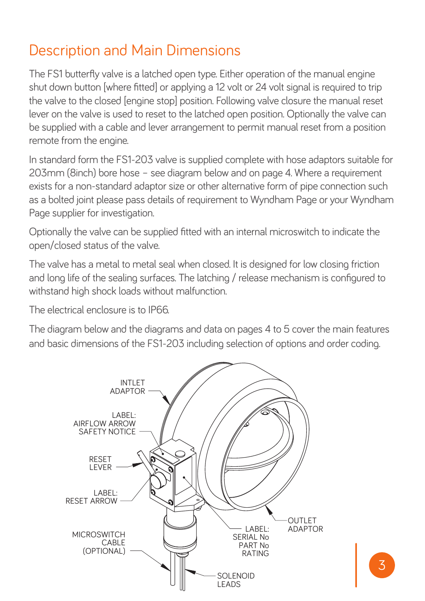#### Description and Main Dimensions

The FS1 butterfly valve is a latched open type. Either operation of the manual engine shut down button [where fitted] or applying a 12 volt or 24 volt signal is required to trip the valve to the closed [engine stop] position. Following valve closure the manual reset lever on the valve is used to reset to the latched open position. Optionally the valve can be supplied with a cable and lever arrangement to permit manual reset from a position remote from the engine.

In standard form the FS1-203 valve is supplied complete with hose adaptors suitable for 203mm (8inch) bore hose – see diagram below and on page 4. Where a requirement exists for a non-standard adaptor size or other alternative form of pipe connection such as a bolted joint please pass details of requirement to Wyndham Page or your Wyndham Page supplier for investigation.

Optionally the valve can be supplied fitted with an internal microswitch to indicate the open/closed status of the valve.

The valve has a metal to metal seal when closed. It is designed for low closing friction and long life of the sealing surfaces. The latching / release mechanism is configured to withstand high shock loads without malfunction.

The electrical enclosure is to IP66.

The diagram below and the diagrams and data on pages 4 to 5 cover the main features and basic dimensions of the FS1-203 including selection of options and order coding.

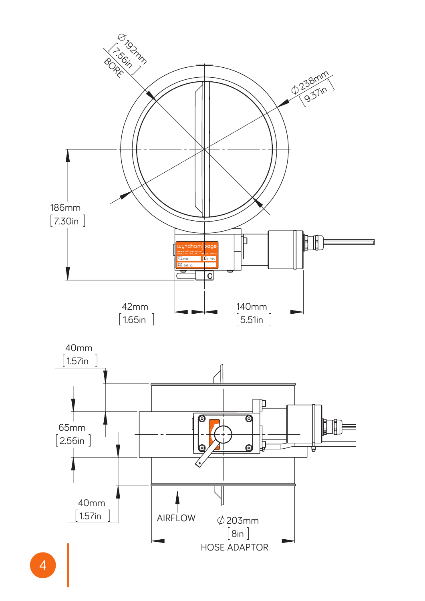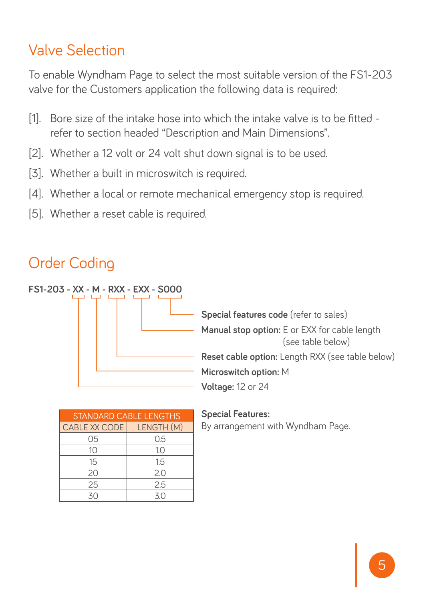#### Valve Selection

To enable Wyndham Page to select the most suitable version of the FS1-203 valve for the Customers application the following data is required:

- [1]. Bore size of the intake hose into which the intake valve is to be fitted refer to section headed "Description and Main Dimensions".
- [2]. Whether a 12 volt or 24 volt shut down signal is to be used.
- [3]. Whether a built in microswitch is required.
- [4]. Whether a local or remote mechanical emergency stop is required.
- [5]. Whether a reset cable is required.

### Order Coding



| <b>STANDARD CABLE LENGTHS</b> |            |
|-------------------------------|------------|
| CABLE XX CODE                 | LENGTH (M) |
| 05                            | 0.5        |
| 10                            | 1.0        |
| 15                            | 15         |
| 20                            | 2.0        |
| 25                            | 25         |
| 30                            | 30         |

#### **Special Features:**

By arrangement with Wyndham Page.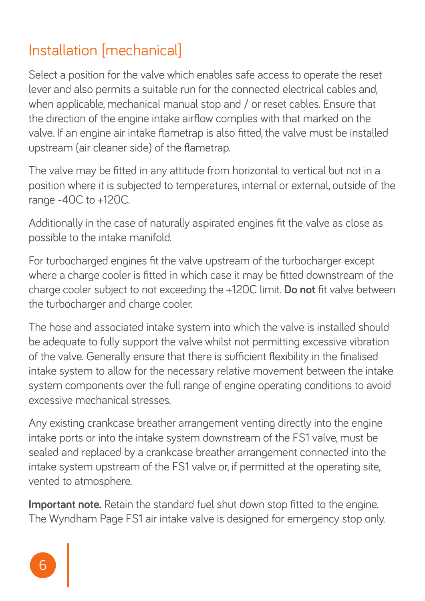### Installation [mechanical]

Select a position for the valve which enables safe access to operate the reset lever and also permits a suitable run for the connected electrical cables and, when applicable, mechanical manual stop and / or reset cables. Ensure that the direction of the engine intake airflow complies with that marked on the valve. If an engine air intake flametrap is also fitted, the valve must be installed upstream (air cleaner side) of the flametrap.

The valve may be fitted in any attitude from horizontal to vertical but not in a position where it is subjected to temperatures, internal or external, outside of the range -40C to +120C.

Additionally in the case of naturally aspirated engines fit the valve as close as possible to the intake manifold.

For turbocharged engines fit the valve upstream of the turbocharger except where a charge cooler is fitted in which case it may be fitted downstream of the charge cooler subject to not exceeding the +120C limit. **Do not** fit valve between the turbocharger and charge cooler.

The hose and associated intake system into which the valve is installed should be adequate to fully support the valve whilst not permitting excessive vibration of the valve. Generally ensure that there is sufficient flexibility in the finalised intake system to allow for the necessary relative movement between the intake system components over the full range of engine operating conditions to avoid excessive mechanical stresses.

Any existing crankcase breather arrangement venting directly into the engine intake ports or into the intake system downstream of the FS1 valve, must be sealed and replaced by a crankcase breather arrangement connected into the intake system upstream of the FS1 valve or, if permitted at the operating site, vented to atmosphere.

**Important note.** Retain the standard fuel shut down stop fitted to the engine. The Wyndham Page FS1 air intake valve is designed for emergency stop only.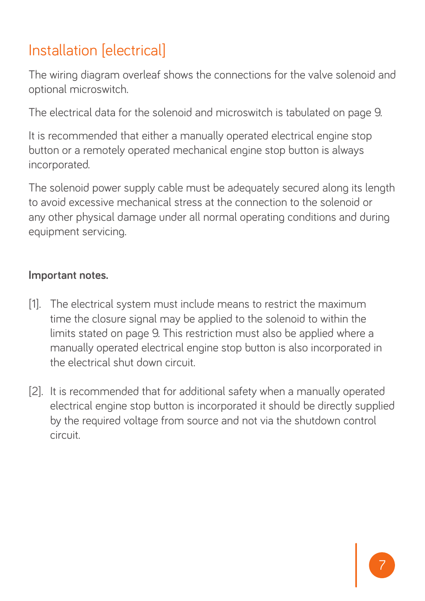## Installation [electrical]

The wiring diagram overleaf shows the connections for the valve solenoid and optional microswitch.

The electrical data for the solenoid and microswitch is tabulated on page 9.

It is recommended that either a manually operated electrical engine stop button or a remotely operated mechanical engine stop button is always incorporated.

The solenoid power supply cable must be adequately secured along its length to avoid excessive mechanical stress at the connection to the solenoid or any other physical damage under all normal operating conditions and during equipment servicing.

#### **Important notes.**

- [1]. The electrical system must include means to restrict the maximum time the closure signal may be applied to the solenoid to within the limits stated on page 9. This restriction must also be applied where a manually operated electrical engine stop button is also incorporated in the electrical shut down circuit.
- [2]. It is recommended that for additional safety when a manually operated electrical engine stop button is incorporated it should be directly supplied by the required voltage from source and not via the shutdown control circuit.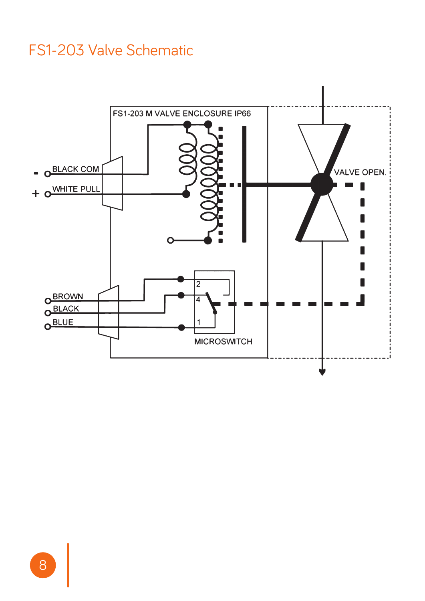#### FS1-203 Valve Schematic

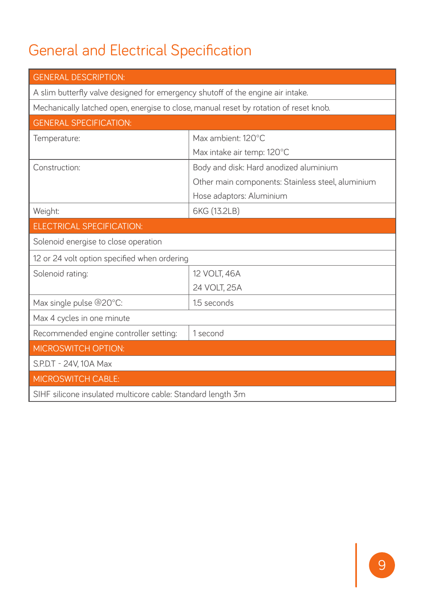## General and Electrical Specification

| <b>GENERAL DESCRIPTION:</b>                                                           |                                                   |
|---------------------------------------------------------------------------------------|---------------------------------------------------|
| A slim butterfly valve designed for emergency shutoff of the engine air intake.       |                                                   |
| Mechanically latched open, energise to close, manual reset by rotation of reset knob. |                                                   |
| <b>GENERAL SPECIFICATION:</b>                                                         |                                                   |
| Temperature:                                                                          | Max ambient: 120°C                                |
|                                                                                       | Max intake air temp: 120°C                        |
| Construction:                                                                         | Body and disk: Hard anodized aluminium            |
|                                                                                       | Other main components: Stainless steel, aluminium |
|                                                                                       | Hose adaptors: Aluminium                          |
| Weight:                                                                               | 6KG (13.2LB)                                      |
| <b>ELECTRICAL SPECIFICATION:</b>                                                      |                                                   |
| Solenoid energise to close operation                                                  |                                                   |
| 12 or 24 volt option specified when ordering                                          |                                                   |
| Solenoid rating:                                                                      | 12 VOLT, 46A                                      |
|                                                                                       | 24 VOLT, 25A                                      |
| Max single pulse @20°C:                                                               | 1.5 seconds                                       |
| Max 4 cycles in one minute                                                            |                                                   |
| Recommended engine controller setting:                                                | 1 second                                          |
| <b>MICROSWITCH OPTION:</b>                                                            |                                                   |
| S.P.D.T - 24V, 10A Max                                                                |                                                   |
| <b>MICROSWITCH CABLE:</b>                                                             |                                                   |
| SIHF silicone insulated multicore cable: Standard length 3m                           |                                                   |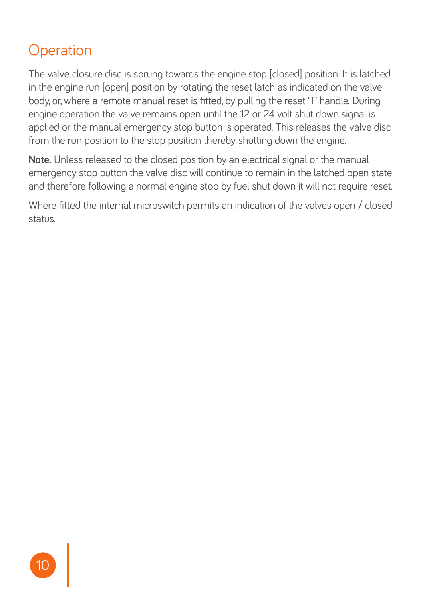### **Operation**

The valve closure disc is sprung towards the engine stop [closed] position. It is latched in the engine run [open] position by rotating the reset latch as indicated on the valve body, or, where a remote manual reset is fitted, by pulling the reset 'T' handle. During engine operation the valve remains open until the 12 or 24 volt shut down signal is applied or the manual emergency stop button is operated. This releases the valve disc from the run position to the stop position thereby shutting down the engine.

**Note.** Unless released to the closed position by an electrical signal or the manual emergency stop button the valve disc will continue to remain in the latched open state and therefore following a normal engine stop by fuel shut down it will not require reset.

Where fitted the internal microswitch permits an indication of the valves open / closed status.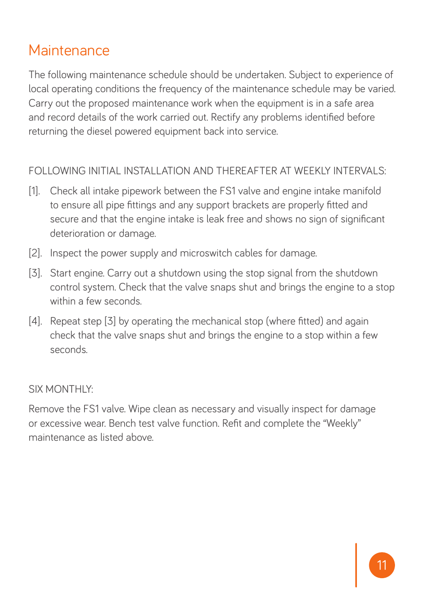#### **Maintenance**

The following maintenance schedule should be undertaken. Subject to experience of local operating conditions the frequency of the maintenance schedule may be varied. Carry out the proposed maintenance work when the equipment is in a safe area and record details of the work carried out. Rectify any problems identified before returning the diesel powered equipment back into service.

#### FOLLOWING INITIAL INSTALLATION AND THEREAFTER AT WEEKLY INTERVALS:

- [1]. Check all intake pipework between the FS1 valve and engine intake manifold to ensure all pipe fittings and any support brackets are properly fitted and secure and that the engine intake is leak free and shows no sign of significant deterioration or damage.
- [2]. Inspect the power supply and microswitch cables for damage.
- [3]. Start engine. Carry out a shutdown using the stop signal from the shutdown control system. Check that the valve snaps shut and brings the engine to a stop within a few seconds.
- [4]. Repeat step [3] by operating the mechanical stop (where fitted) and again check that the valve snaps shut and brings the engine to a stop within a few seconds.

#### SIX MONTHLY:

Remove the FS1 valve. Wipe clean as necessary and visually inspect for damage or excessive wear. Bench test valve function. Refit and complete the "Weekly" maintenance as listed above.